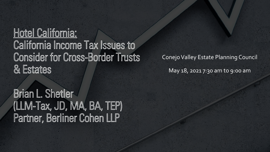## Hotel California: California Income Tax Issues to **Consider for Cross-Border Trusts** & Estates

Conejo Valley Estate Planning Council

May 18, 2021 7:30 am to 9:00 am

Brian L. Shetler (LLM-Tax, JD, MA, BA, TEP) Partner, Berliner Cohen LLP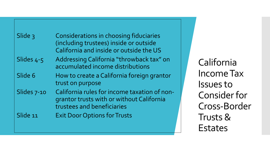| Slide 3     | Considerations in choosing fiduciaries<br>(including trustees) inside or outside<br>California and inside or outside the US |
|-------------|-----------------------------------------------------------------------------------------------------------------------------|
| Slides 4-5  | Addressing California "throwback tax" on<br>accumulated income distributions                                                |
| Slide 6     | How to create a California foreign grantor<br>trust on purpose                                                              |
| Slides 7-10 | California rules for income taxation of non-<br>grantor trusts with or without California<br>trustees and beneficiaries     |
| Slide 11    | <b>Exit Door Options for Trusts</b>                                                                                         |

California Income Tax Issues to Consider for Cross-Border Trusts & Estates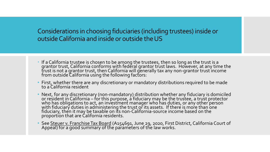Considerations in choosing fiduciaries (including trustees) inside or outside California and inside or outside the US

- If a California trustee is chosen to be among the trustees, then so long as the trust is a grantor trust, California conforms with federal grantor trust laws. However, at any time the trust is not a grantor trust, then California will generally tax any non-grantor trust income<br>from outside California using the following factors:
- First, whether there are any discretionary or mandatory distributions required to be made to a California resident
- Next, for any discretionary (non-mandatory) distribution whether any fiduciary is domiciled<br>or resident in California for this purpose, a fiduciary may be the trustee, a trust protector<br>who has obligations to act, an i with fiduciary duties in administering the trust or its assets. If there is more than one fiduciary, then it may be taxable on its non-California-source income based on the proportion that are California residents.
- See <u>Steuer v. Franchise Tax Board</u> (A154691, June 29, 2020, First District, California Court of<br>Appeal) for a good summary of the parameters of the law works.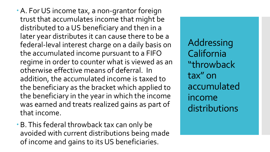- A. For US income tax, a non-grantor foreign trust that accumulates income that might be distributed to a US beneficiary and then in a later year distributes it can cause there to be a federal-leval interest charge on a daily basis on the accumulated income pursuant to a FIFO regime in order to counter what is viewed as an otherwise effective means of deferral. In addition, the accumulated income is taxed to the beneficiary as the bracket which applied to the beneficiary in the year in which the income was earned and treats realized gains as part of that income.
- B. This federal throwback tax can only be avoided with current distributions being made of income and gains to its US beneficiaries.

Addressing California "throwback tax" on accumulated income distributions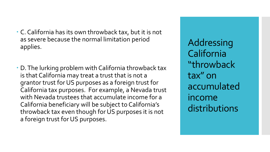- C. California has its own throwback tax, but it is not as severe because the normal limitation period applies.
- D. The lurking problem with California throwback tax is that California may treat a trust that is not a grantor trust for US purposes as a foreign trust for California tax purposes. For example, a Nevada trust with Nevada trustees that accumulate income for a California beneficiary will be subject to California's throwback tax even though for US purposes it is not a foreign trust for US purposes.

Addressing California "throwback tax" on accumulated income distributions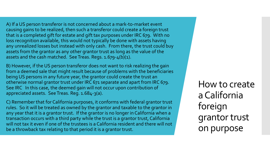A) If a US person transferor is not concerned about a mark-to-market event causing gains to be realized, then such a transferor could create a foreign trust that is a completed gift for estate and gift tax purposes under IRC 679. With no loss recognition available, this would not typically be done with assets having any unrealized losses but instead with only cash. From there, the trust could buy assets from the grantor as any other grantor trust as long as the value of the assets and the cash matched. See Treas. Regs. 1.679-4(b)(1).

 B) However, if the US person transferor does not want to risk realizing the gain from a deemed sale that might result because of problems with the beneficiaries being US persons in any future year, the grantor could create the trust an otherwise normal grantor trust under IRC 671 separate and apart from IRC 679. See IRC In this case, the deemed gain will not occur upon contribution of appreciated assets. See Treas. Reg. 1.684-3(a).

 C) Remember that for California purposes, it conforms with federal grantor trust rules. So it will be treated as owned by the grantor and taxable to the grantor in any year that it is a grantor trust. If the grantor is no longer in California when a transaction occurs with a third party while the trust is a grantor trust, California will not tax it even if one of the trustees is a California resident and there will not be a throwback tax relating to that period it is a grantor trust.

How to create a California foreign grantor trust on purpose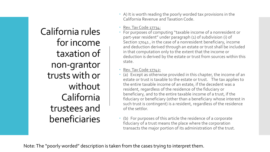- A) It is worth reading the poorly worded tax provisions in the California Revenue and Taxation Code.
- Rev. Tax Code 17734:
- For purposes of computing "taxable income of a nonresident or part-year resident" under paragraph (1) of subdivision (i) of Section 17041 , in the case of a nonresident beneficiary, income and deduction derived through an estate or trust shall be included in that computation only to the extent that the income or deduction is derived by the estate or trust from sources within this state.
- Rev. Tax Code 17742:
- (a) Except as otherwise provided in this chapter, the income of an estate or trust is taxable to the estate or trust. The tax applies to the entire taxable income of an estate, if the decedent was a resident, regardless of the residence of the fiduciary or beneficiary, and to the entire taxable income of a trust, if the fiduciary or beneficiary (other than a beneficiary whose interest in such trust is contingent) is a resident, regardless of the residence of the settlor.
- (b) For purposes of this article the residence of a corporate fiduciary of a trust means the place where the corporation transacts the major portion of its administration of the trust.

Note: The "poorly worded" description is taken from the cases trying to interpret them.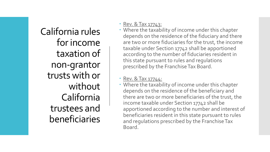#### • Rev. & Tax  $17743$ :

 Where the taxability of income under this chapter depends on the residence of the fiduciary and there are two or more fiduciaries for the trust, the income taxable under Section 17742 shall be apportioned according to the number of fiduciaries resident in this state pursuant to rules and regulations prescribed by the Franchise Tax Board.

#### • Rev. & Tax 17744:

 Where the taxability of income under this chapter depends on the residence of the beneficiary and there are two or more beneficiaries of the trust, the income taxable under Section 17742 shall be apportioned according to the number and interest of beneficiaries resident in this state pursuant to rules and regulations prescribed by the Franchise Tax Board.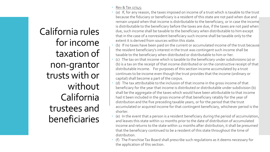- Rev & Tax 17745:
- (a) If, for any reason, the taxes imposed on income of a trust which is taxable to the trust because the fiduciary or beneficiary is a resident of this state are not paid when due and remain unpaid when that income is distributable to the beneficiary, or in case the income is distributable to the beneficiary before the taxes are due, if the taxes are not paid when due, such income shall be taxable to the beneficiary when distributable to him except that in the case of a nonresident beneficiary such income shall be taxable only to the extent it is derived from sources within this state.
- (b) If no taxes have been paid on the current or accumulated income of the trust because the resident beneficiary's interest in the trust was contingent such income shall be taxable to the beneficiary when distributed or distributable to him or her.
- (c) The tax on that income which is taxable to the beneficiary under subdivisions (a) or (b) is a tax on the receipt of that income distributed or on the constructive receipt of that distributable income. For purposes of this section income accumulated by a trust continues to be income even though the trust provides that the income (ordinary or capital) shall become a part of the corpus.
- (d) The tax attributable to the inclusion of that income in the gross income of that beneficiary for the year that income is distributed or distributable under subdivision (b) shall be the aggregate of the taxes which would have been attributable to that income had it been included in the gross income of that beneficiary ratably for the year of distribution and the five preceding taxable years, or for the period that the trust accumulated or acquired income for that contingent beneficiary, whichever period is the shorter.
- (e) In the event that a person is a resident beneficiary during the period of accumulation, and leaves this state within 12 months prior to the date of distribution of accumulated income and returns to the state within 12 months after distribution, it shall be presumed that the beneficiary continued to be a resident of this state throughout the time of distribution.
- (f) The Franchise Tax Board shall prescribe such regulations as it deems necessary for the application of this section.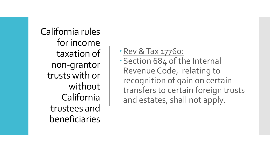Rev & Tax 17760:

Section 684 of the Internal Revenue Code, relating to recognition of gain on certain transfers to certain foreign trusts and estates, shall not apply.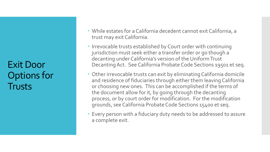Exit Door Options for **Trusts** 

- While estates for a California decedent cannot exit California, a trust may exit California.
- Irrevocable trusts established by Court order with continuing jurisdiction must seek either a transfer order or go though a decanting under California's version of the Uniform Trust Decanting Act. See California Probate Code Sections 19501 et seq.
- Other irrevocable trusts can exit by eliminating California domicile and residence of fiduciaries through either them leaving California or choosing new ones. This can be accomplished if the terms of the document allow for it, by going through the decanting process, or by court order for modification. For the modification grounds, see California Probate Code Sections 15400 et seq.
- Every person with a fiduciary duty needs to be addressed to assure a complete exit.